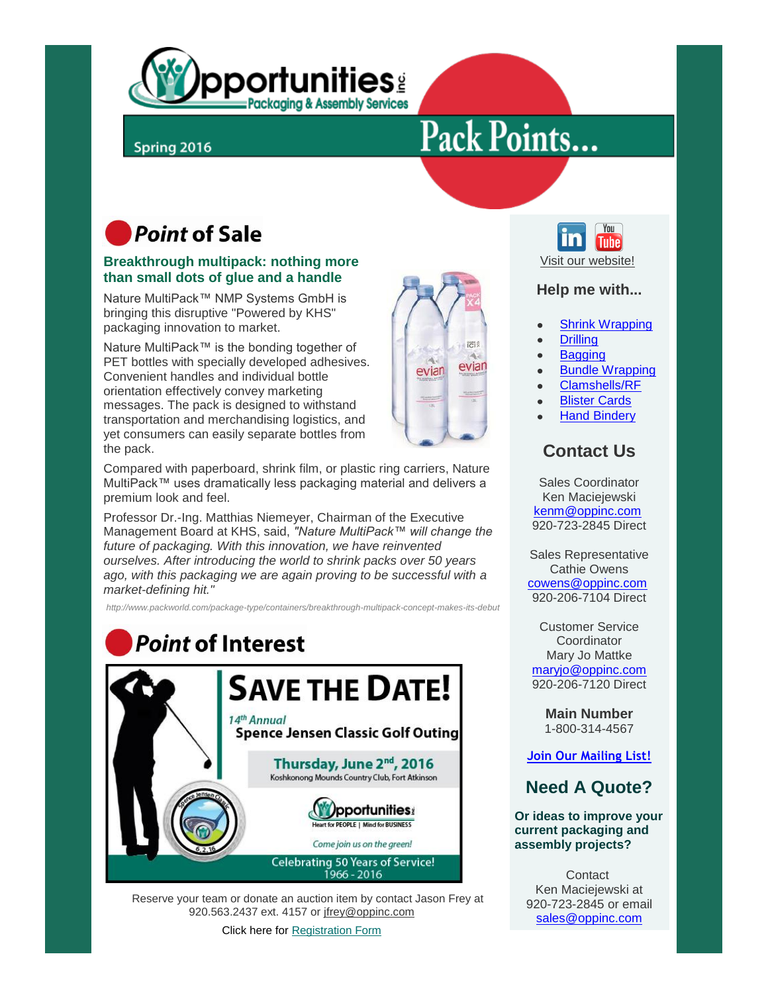

## Spring 2016

# Pack Points...

# **Point of Sale**

#### **Breakthrough multipack: nothing more than small dots of glue and a handle**

Nature MultiPack™ NMP Systems GmbH is bringing this disruptive "Powered by KHS" packaging innovation to market.

Nature MultiPack™ is the bonding together of PET bottles with specially developed adhesives. Convenient handles and individual bottle orientation effectively convey marketing messages. The pack is designed to withstand transportation and merchandising logistics, and yet consumers can easily separate bottles from the pack.

Compared with paperboard, shrink film, or plastic ring carriers, Nature MultiPack™ uses dramatically less packaging material and delivers a premium look and feel.

Professor Dr.-Ing. Matthias Niemeyer, Chairman of the Executive Management Board at KHS, said, *"Nature MultiPack™ will change the future of packaging. With this innovation, we have reinvented ourselves. After introducing the world to shrink packs over 50 years ago, with this packaging we are again proving to be successful with a market-defining hit."*

*http://www.packworld.com/package-type/containers/breakthrough-multipack-concept-makes-its-debut*



 Reserve your team or donate an auction item by contact Jason Frey at 920.563.2437 ext. 4157 or [jfrey@oppinc.com](mailto:jfrey@oppinc.com)

Click here for [Registration Form](http://files.ctctcdn.com/d3cb077a201/71aae163-43cf-4a36-96d1-0b270fd55371.pdf)





#### **Help me with...**

- [Shrink Wrapping](http://oipackages.com/shrink_wrapping.html)
- **[Drilling](http://oipackages.com/drilling.html)**
- **[Bagging](http://oipackages.com/bagging.html)**
- [Bundle Wrapping](http://oipackages.com/bundle_wrapping.html)
- [Clamshells/RF](http://oipackages.com/clamshells.html)
- [Blister Cards](http://oipackages.com/blister_cards.html)
- [Hand Bindery](http://oipackages.com/hand_bindery.html)

## **Contact Us**

Sales Coordinator Ken Maciejewski [kenm@oppinc.com](mailto:kenm@oppinc.com) 920-723-2845 Direct

Sales Representative Cathie Owens [cowens@oppinc.com](mailto:cowens@oppinc.com) 920-206-7104 Direct

Customer Service **Coordinator** Mary Jo Mattke [maryjo@oppinc.com](mailto:maryjo@oppinc.com) 920-206-7120 Direct

> **Main Number** 1-800-314-4567

**[Join Our Mailing List!](http://visitor.r20.constantcontact.com/email.jsp?m=1110910745661&id=preview)**

### **Need A Quote?**

**Or ideas to improve your current packaging and assembly projects?**

**Contact** Ken Maciejewski at 920-723-2845 or email [sales@oppinc.com](mailto:sales@oppinc.com)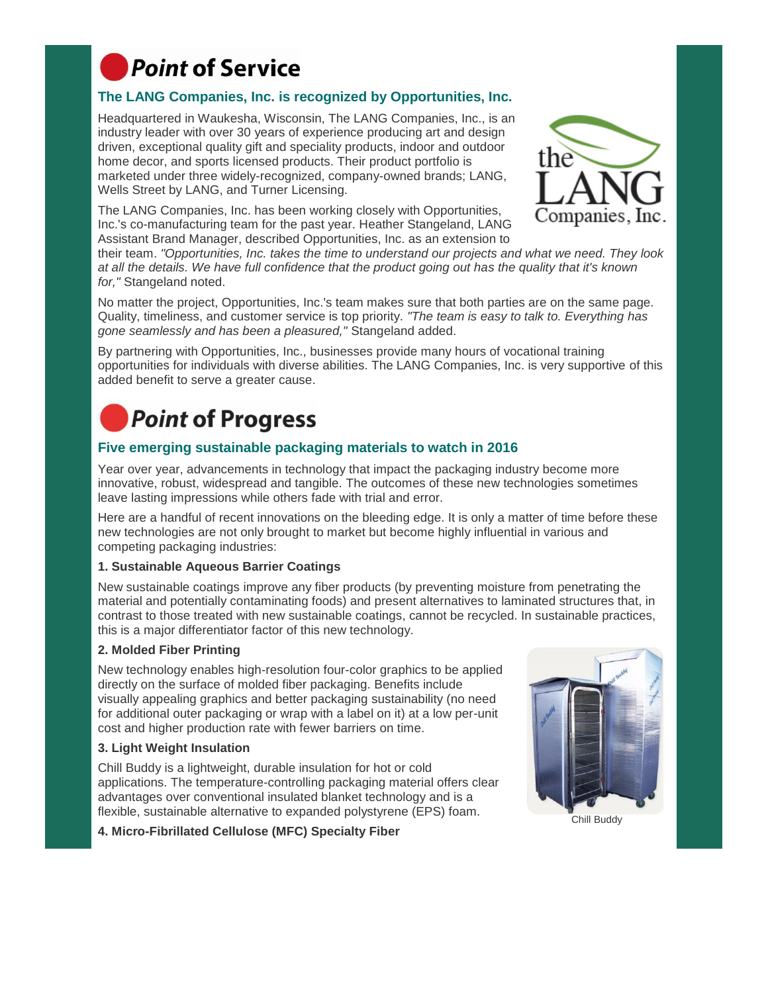

#### **The LANG Companies, Inc. is recognized by Opportunities, Inc.**

Headquartered in Waukesha, Wisconsin, The LANG Companies, Inc., is an industry leader with over 30 years of experience producing art and design driven, exceptional quality gift and speciality products, indoor and outdoor home decor, and sports licensed products. Their product portfolio is marketed under three widely-recognized, company-owned brands; LANG, Wells Street by LANG, and Turner Licensing.

The LANG Companies, Inc. has been working closely with Opportunities, Inc.'s co-manufacturing team for the past year. Heather Stangeland, LANG Assistant Brand Manager, described Opportunities, Inc. as an extension to



their team. *"Opportunities, Inc. takes the time to understand our projects and what we need. They look at all the details. We have full confidence that the product going out has the quality that it's known for,"* Stangeland noted.

No matter the project, Opportunities, Inc.'s team makes sure that both parties are on the same page. Quality, timeliness, and customer service is top priority. *"The team is easy to talk to. Everything has gone seamlessly and has been a pleasured,"* Stangeland added.

By partnering with Opportunities, Inc., businesses provide many hours of vocational training opportunities for individuals with diverse abilities. The LANG Companies, Inc. is very supportive of this added benefit to serve a greater cause.

# **Point of Progress**

#### **Five emerging sustainable packaging materials to watch in 2016**

Year over year, advancements in technology that impact the packaging industry become more innovative, robust, widespread and tangible. The outcomes of these new technologies sometimes leave lasting impressions while others fade with trial and error.

Here are a handful of recent innovations on the bleeding edge. It is only a matter of time before these new technologies are not only brought to market but become highly influential in various and competing packaging industries:

#### **1. Sustainable Aqueous Barrier Coatings**

New sustainable coatings improve any fiber products (by preventing moisture from penetrating the material and potentially contaminating foods) and present alternatives to laminated structures that, in contrast to those treated with new sustainable coatings, cannot be recycled. In sustainable practices, this is a major differentiator factor of this new technology.

#### **2. Molded Fiber Printing**

New technology enables high-resolution four-color graphics to be applied directly on the surface of molded fiber packaging. Benefits include visually appealing graphics and better packaging sustainability (no need for additional outer packaging or wrap with a label on it) at a low per-unit cost and higher production rate with fewer barriers on time.

#### **3. Light Weight Insulation**

Chill Buddy is a lightweight, durable insulation for hot or cold applications. The temperature-controlling packaging material offers clear advantages over conventional insulated blanket technology and is a flexible, sustainable alternative to expanded polystyrene (EPS) foam.

**4. Micro-Fibrillated Cellulose (MFC) Specialty Fiber**